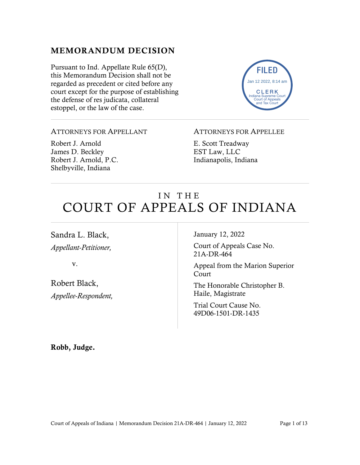#### MEMORANDUM DECISION

Pursuant to Ind. Appellate Rule 65(D), this Memorandum Decision shall not be regarded as precedent or cited before any court except for the purpose of establishing the defense of res judicata, collateral estoppel, or the law of the case.



#### ATTORNEYS FOR APPELLANT

Robert J. Arnold James D. Beckley Robert J. Arnold, P.C. Shelbyville, Indiana

#### ATTORNEYS FOR APPELLEE

E. Scott Treadway EST Law, LLC Indianapolis, Indiana

# IN THE COURT OF APPEALS OF INDIANA

Sandra L. Black, *Appellant-Petitioner,*

v.

Robert Black, *Appellee-Respondent,* January 12, 2022

Court of Appeals Case No. 21A-DR-464

Appeal from the Marion Superior Court

The Honorable Christopher B. Haile, Magistrate

Trial Court Cause No. 49D06-1501-DR-1435

Robb, Judge.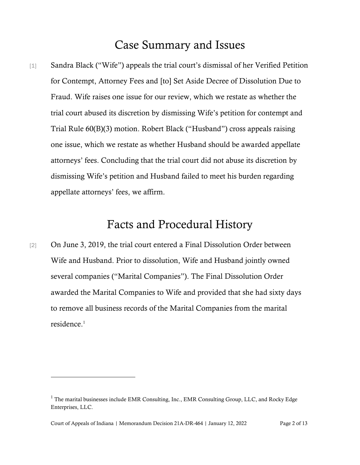## Case Summary and Issues

[1] Sandra Black ("Wife") appeals the trial court's dismissal of her Verified Petition for Contempt, Attorney Fees and [to] Set Aside Decree of Dissolution Due to Fraud. Wife raises one issue for our review, which we restate as whether the trial court abused its discretion by dismissing Wife's petition for contempt and Trial Rule 60(B)(3) motion. Robert Black ("Husband") cross appeals raising one issue, which we restate as whether Husband should be awarded appellate attorneys' fees. Concluding that the trial court did not abuse its discretion by dismissing Wife's petition and Husband failed to meet his burden regarding appellate attorneys' fees, we affirm.

## Facts and Procedural History

[2] On June 3, 2019, the trial court entered a Final Dissolution Order between Wife and Husband. Prior to dissolution, Wife and Husband jointly owned several companies ("Marital Companies"). The Final Dissolution Order awarded the Marital Companies to Wife and provided that she had sixty days to remove all business records of the Marital Companies from the marital residence. 1

 $1$  The marital businesses include EMR Consulting, Inc., EMR Consulting Group, LLC, and Rocky Edge Enterprises, LLC.

Court of Appeals of Indiana | Memorandum Decision 21A-DR-464 | January 12, 2022 Page 2 of 13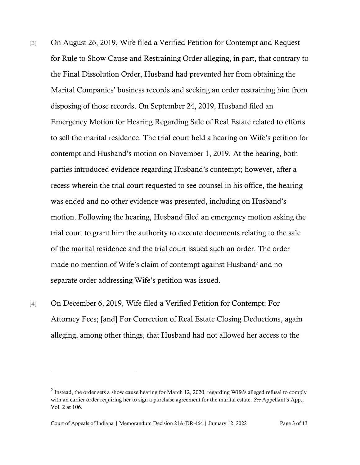- [3] On August 26, 2019, Wife filed a Verified Petition for Contempt and Request for Rule to Show Cause and Restraining Order alleging, in part, that contrary to the Final Dissolution Order, Husband had prevented her from obtaining the Marital Companies' business records and seeking an order restraining him from disposing of those records. On September 24, 2019, Husband filed an Emergency Motion for Hearing Regarding Sale of Real Estate related to efforts to sell the marital residence. The trial court held a hearing on Wife's petition for contempt and Husband's motion on November 1, 2019. At the hearing, both parties introduced evidence regarding Husband's contempt; however, after a recess wherein the trial court requested to see counsel in his office, the hearing was ended and no other evidence was presented, including on Husband's motion. Following the hearing, Husband filed an emergency motion asking the trial court to grant him the authority to execute documents relating to the sale of the marital residence and the trial court issued such an order. The order made no mention of Wife's claim of contempt against Husband<sup>2</sup> and no separate order addressing Wife's petition was issued.
- [4] On December 6, 2019, Wife filed a Verified Petition for Contempt; For Attorney Fees; [and] For Correction of Real Estate Closing Deductions, again alleging, among other things, that Husband had not allowed her access to the

Court of Appeals of Indiana | Memorandum Decision 21A-DR-464 | January 12, 2022 Page 3 of 13

<sup>&</sup>lt;sup>2</sup> Instead, the order sets a show cause hearing for March 12, 2020, regarding Wife's alleged refusal to comply with an earlier order requiring her to sign a purchase agreement for the marital estate. *See* Appellant's App., Vol. 2 at 106.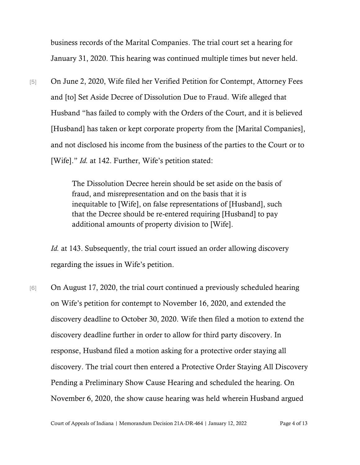business records of the Marital Companies. The trial court set a hearing for January 31, 2020. This hearing was continued multiple times but never held.

[5] On June 2, 2020, Wife filed her Verified Petition for Contempt, Attorney Fees and [to] Set Aside Decree of Dissolution Due to Fraud. Wife alleged that Husband "has failed to comply with the Orders of the Court, and it is believed [Husband] has taken or kept corporate property from the [Marital Companies], and not disclosed his income from the business of the parties to the Court or to [Wife]." *Id.* at 142. Further, Wife's petition stated:

> The Dissolution Decree herein should be set aside on the basis of fraud, and misrepresentation and on the basis that it is inequitable to [Wife], on false representations of [Husband], such that the Decree should be re-entered requiring [Husband] to pay additional amounts of property division to [Wife].

*Id.* at 143. Subsequently, the trial court issued an order allowing discovery regarding the issues in Wife's petition.

[6] On August 17, 2020, the trial court continued a previously scheduled hearing on Wife's petition for contempt to November 16, 2020, and extended the discovery deadline to October 30, 2020. Wife then filed a motion to extend the discovery deadline further in order to allow for third party discovery. In response, Husband filed a motion asking for a protective order staying all discovery. The trial court then entered a Protective Order Staying All Discovery Pending a Preliminary Show Cause Hearing and scheduled the hearing. On November 6, 2020, the show cause hearing was held wherein Husband argued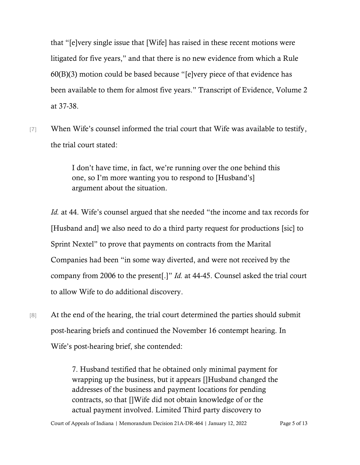that "[e]very single issue that [Wife] has raised in these recent motions were litigated for five years," and that there is no new evidence from which a Rule 60(B)(3) motion could be based because "[e]very piece of that evidence has been available to them for almost five years." Transcript of Evidence, Volume 2 at 37-38.

[7] When Wife's counsel informed the trial court that Wife was available to testify, the trial court stated:

> I don't have time, in fact, we're running over the one behind this one, so I'm more wanting you to respond to [Husband's] argument about the situation.

*Id.* at 44. Wife's counsel argued that she needed "the income and tax records for [Husband and] we also need to do a third party request for productions [sic] to Sprint Nextel" to prove that payments on contracts from the Marital Companies had been "in some way diverted, and were not received by the company from 2006 to the present[.]" *Id.* at 44-45. Counsel asked the trial court to allow Wife to do additional discovery.

[8] At the end of the hearing, the trial court determined the parties should submit post-hearing briefs and continued the November 16 contempt hearing. In Wife's post-hearing brief, she contended:

> 7. Husband testified that he obtained only minimal payment for wrapping up the business, but it appears []Husband changed the addresses of the business and payment locations for pending contracts, so that []Wife did not obtain knowledge of or the actual payment involved. Limited Third party discovery to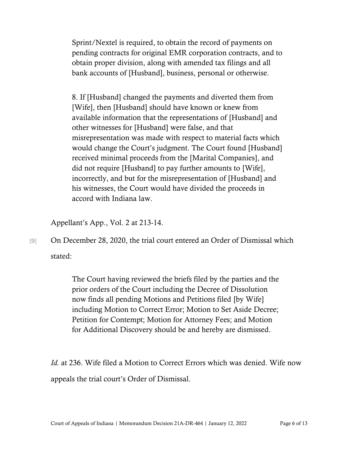Sprint/Nextel is required, to obtain the record of payments on pending contracts for original EMR corporation contracts, and to obtain proper division, along with amended tax filings and all bank accounts of [Husband], business, personal or otherwise.

8. If [Husband] changed the payments and diverted them from [Wife], then [Husband] should have known or knew from available information that the representations of [Husband] and other witnesses for [Husband] were false, and that misrepresentation was made with respect to material facts which would change the Court's judgment. The Court found [Husband] received minimal proceeds from the [Marital Companies], and did not require [Husband] to pay further amounts to [Wife], incorrectly, and but for the misrepresentation of [Husband] and his witnesses, the Court would have divided the proceeds in accord with Indiana law.

Appellant's App., Vol. 2 at 213-14.

[9] On December 28, 2020, the trial court entered an Order of Dismissal which stated:

> The Court having reviewed the briefs filed by the parties and the prior orders of the Court including the Decree of Dissolution now finds all pending Motions and Petitions filed [by Wife] including Motion to Correct Error; Motion to Set Aside Decree; Petition for Contempt; Motion for Attorney Fees; and Motion for Additional Discovery should be and hereby are dismissed.

*Id.* at 236. Wife filed a Motion to Correct Errors which was denied. Wife now appeals the trial court's Order of Dismissal.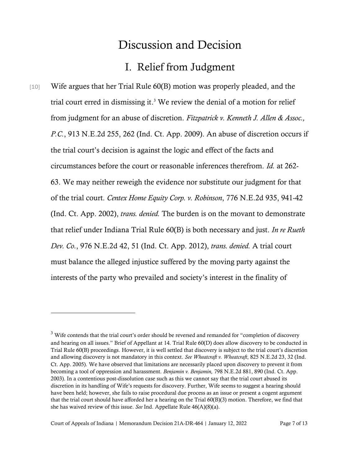## Discussion and Decision

## I. Relief from Judgment

[10] Wife argues that her Trial Rule 60(B) motion was properly pleaded, and the trial court erred in dismissing it. <sup>3</sup> We review the denial of a motion for relief from judgment for an abuse of discretion. *[Fitzpatrick](https://1.next.westlaw.com/Link/Document/FullText?findType=Y&serNum=2019792648&pubNum=0000578&originatingDoc=I73588ea0050d11ec81429451ea631beb&refType=RP&originationContext=document&transitionType=DocumentItem&ppcid=88a057359a734d3b8e09c44d588a084e&contextData=(sc.Search)) v. Kenneth J. Allen & Assoc., P.C.*, 913 [N.E.2d](https://1.next.westlaw.com/Link/Document/FullText?findType=Y&serNum=2019792648&pubNum=0000578&originatingDoc=I73588ea0050d11ec81429451ea631beb&refType=RP&originationContext=document&transitionType=DocumentItem&ppcid=88a057359a734d3b8e09c44d588a084e&contextData=(sc.Search)) 255, 262 (Ind. Ct. App. 2009). An abuse of discretion occurs if the trial court's decision is against the logic and effect of the facts and circumstances before the court or reasonable inferences therefrom. *[Id.](https://1.next.westlaw.com/Link/Document/FullText?findType=Y&serNum=2019792648&pubNum=0000578&originatingDoc=I73588ea0050d11ec81429451ea631beb&refType=RP&originationContext=document&transitionType=DocumentItem&ppcid=88a057359a734d3b8e09c44d588a084e&contextData=(sc.Search))* at 262- 63. We may neither reweigh the evidence nor substitute our judgment for that of the trial court. *Centex Home Equity Corp. v. [Robinson](https://1.next.westlaw.com/Link/Document/FullText?findType=Y&serNum=2002662545&pubNum=0000578&originatingDoc=I73588ea0050d11ec81429451ea631beb&refType=RP&originationContext=document&transitionType=DocumentItem&ppcid=88a057359a734d3b8e09c44d588a084e&contextData=(sc.Search))*, 776 N.E.2d 935, 941-4[2](https://1.next.westlaw.com/Link/Document/FullText?findType=Y&serNum=2002662545&pubNum=0000578&originatingDoc=I73588ea0050d11ec81429451ea631beb&refType=RP&originationContext=document&transitionType=DocumentItem&ppcid=88a057359a734d3b8e09c44d588a084e&contextData=(sc.Search)) (Ind. Ct. App. [2002\),](https://1.next.westlaw.com/Link/Document/FullText?findType=Y&serNum=2002662545&pubNum=0000578&originatingDoc=I73588ea0050d11ec81429451ea631beb&refType=RP&originationContext=document&transitionType=DocumentItem&ppcid=88a057359a734d3b8e09c44d588a084e&contextData=(sc.Search)) *trans. denied.* The burden is on the movant to demonstrate that relief under Indiana Trial Rule [60\(B\)](https://1.next.westlaw.com/Link/Document/FullText?findType=L&pubNum=1006998&cite=INSTRPR60&originatingDoc=I73588ea0050d11ec81429451ea631beb&refType=LQ&originationContext=document&transitionType=DocumentItem&ppcid=88a057359a734d3b8e09c44d588a084e&contextData=(sc.Search)) is both necessary and just. *In re [Rueth](https://1.next.westlaw.com/Link/Document/FullText?findType=Y&serNum=2028400201&pubNum=0000578&originatingDoc=I73588ea0050d11ec81429451ea631beb&refType=RP&originationContext=document&transitionType=DocumentItem&ppcid=88a057359a734d3b8e09c44d588a084e&contextData=(sc.Search)) Dev. Co.*, 976 [N.E.2d](https://1.next.westlaw.com/Link/Document/FullText?findType=Y&serNum=2028400201&pubNum=0000578&originatingDoc=I73588ea0050d11ec81429451ea631beb&refType=RP&originationContext=document&transitionType=DocumentItem&ppcid=88a057359a734d3b8e09c44d588a084e&contextData=(sc.Search)) 42, 51 (Ind. Ct. App. 2012), *trans. denied.* A trial court must balance the alleged injustice suffered by the moving party against the interests of the party who prevailed and society's interest in the finality of

<sup>&</sup>lt;sup>3</sup> Wife contends that the trial court's order should be reversed and remanded for "completion of discovery" and hearing on all issues." Brief of Appellant at 14. Trial Rule 60(D) does allow discovery to be conducted in Trial Rule 60(B) proceedings. However, it is well settled that discovery is subject to the trial court's discretion and allowing discovery is not mandatory in this context. *See Wheatcraft v. Wheatcraft*, 825 N.E.2d 23, 32 (Ind. Ct. App. 2005). We have observed that limitations are necessarily placed upon discovery to prevent it from becoming a tool of oppression and harassment. *Benjamin v. [Benjamin,](https://1.next.westlaw.com/Link/Document/FullText?findType=Y&serNum=2003856793&pubNum=0000578&originatingDoc=I10af8db2d46b11d98ac8f235252e36df&refType=RP&fi=co_pp_sp_578_889&originationContext=document&transitionType=DocumentItem&ppcid=b13bf2a5a5d14ccf9d9eef9bfcaa059d&contextData=(sc.Search)#co_pp_sp_578_889)* 798 N.E.2d 881, 890 (Ind. Ct. App[.](https://1.next.westlaw.com/Link/Document/FullText?findType=Y&serNum=2003856793&pubNum=0000578&originatingDoc=I10af8db2d46b11d98ac8f235252e36df&refType=RP&fi=co_pp_sp_578_889&originationContext=document&transitionType=DocumentItem&ppcid=b13bf2a5a5d14ccf9d9eef9bfcaa059d&contextData=(sc.Search)#co_pp_sp_578_889) [2003\).](https://1.next.westlaw.com/Link/Document/FullText?findType=Y&serNum=2003856793&pubNum=0000578&originatingDoc=I10af8db2d46b11d98ac8f235252e36df&refType=RP&fi=co_pp_sp_578_889&originationContext=document&transitionType=DocumentItem&ppcid=b13bf2a5a5d14ccf9d9eef9bfcaa059d&contextData=(sc.Search)#co_pp_sp_578_889) In a contentious post-dissolution case such as this we cannot say that the trial court abused its discretion in its handling of Wife's requests for discovery. Further, Wife seems to suggest a hearing should have been held; however, she fails to raise procedural due process as an issue or present a cogent argument that the trial court should have afforded her a hearing on the Trial 60(B)(3) motion. Therefore, we find that she has waived review of this issue. *See* Ind. Appellate Rule 46(A)(8)(a).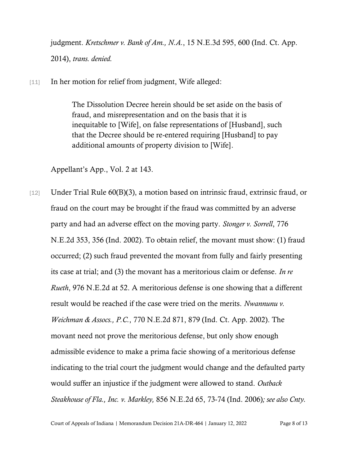judgment. *[Kretschmer](https://1.next.westlaw.com/Link/Document/FullText?findType=Y&serNum=2034108389&pubNum=0007902&originatingDoc=I73588ea0050d11ec81429451ea631beb&refType=RP&originationContext=document&transitionType=DocumentItem&ppcid=88a057359a734d3b8e09c44d588a084e&contextData=(sc.Search)) v. Bank of Am., N.A.*, 15 N.E.3d 595, 600 (Ind. Ct. App[.](https://1.next.westlaw.com/Link/Document/FullText?findType=Y&serNum=2034108389&pubNum=0007902&originatingDoc=I73588ea0050d11ec81429451ea631beb&refType=RP&originationContext=document&transitionType=DocumentItem&ppcid=88a057359a734d3b8e09c44d588a084e&contextData=(sc.Search)) [2014\),](https://1.next.westlaw.com/Link/Document/FullText?findType=Y&serNum=2034108389&pubNum=0007902&originatingDoc=I73588ea0050d11ec81429451ea631beb&refType=RP&originationContext=document&transitionType=DocumentItem&ppcid=88a057359a734d3b8e09c44d588a084e&contextData=(sc.Search)) *trans. denied.*

[11] In her motion for relief from judgment, Wife alleged:

The Dissolution Decree herein should be set aside on the basis of fraud, and misrepresentation and on the basis that it is inequitable to [Wife], on false representations of [Husband], such that the Decree should be re-entered requiring [Husband] to pay additional amounts of property division to [Wife].

Appellant's App., Vol. 2 at 143.

[12] Under Trial Rule 60(B)(3), a motion based on intrinsic fraud, extrinsic fraud, or fraud on the court may be brought if the fraud was committed by an adverse party and had an adverse effect on the moving party. *[Stonger v. Sorrell](https://1.next.westlaw.com/Link/Document/FullText?findType=Y&serNum=2002638085&pubNum=0000578&originatingDoc=I73588ea0050d11ec81429451ea631beb&refType=RP&originationContext=document&transitionType=DocumentItem&ppcid=88a057359a734d3b8e09c44d588a084e&contextData=(sc.Search))*[, 776](https://1.next.westlaw.com/Link/Document/FullText?findType=Y&serNum=2002638085&pubNum=0000578&originatingDoc=I73588ea0050d11ec81429451ea631beb&refType=RP&originationContext=document&transitionType=DocumentItem&ppcid=88a057359a734d3b8e09c44d588a084e&contextData=(sc.Search))  [N.E.2d 353, 356 \(Ind. 2002\).](https://1.next.westlaw.com/Link/Document/FullText?findType=Y&serNum=2002638085&pubNum=0000578&originatingDoc=I73588ea0050d11ec81429451ea631beb&refType=RP&originationContext=document&transitionType=DocumentItem&ppcid=88a057359a734d3b8e09c44d588a084e&contextData=(sc.Search)) To obtain relief, the movant must show: (1) fraud occurred; (2) such fraud prevented the movant from fully and fairly presenting its case at trial; and (3) the movant has a meritorious claim or defense. *[In re](https://1.next.westlaw.com/Link/Document/FullText?findType=Y&serNum=2028400201&pubNum=0000578&originatingDoc=I73588ea0050d11ec81429451ea631beb&refType=RP&originationContext=document&transitionType=DocumentItem&ppcid=88a057359a734d3b8e09c44d588a084e&contextData=(sc.Search))  Rueth*[, 976 N.E.2d at 52.](https://1.next.westlaw.com/Link/Document/FullText?findType=Y&serNum=2028400201&pubNum=0000578&originatingDoc=I73588ea0050d11ec81429451ea631beb&refType=RP&originationContext=document&transitionType=DocumentItem&ppcid=88a057359a734d3b8e09c44d588a084e&contextData=(sc.Search)) A meritorious defense is one showing that a different result would be reached if the case were tried on the merits. *[Nwannunu v.](https://1.next.westlaw.com/Link/Document/FullText?findType=Y&serNum=2002398422&pubNum=0000578&originatingDoc=I165c8b7cd39211d98ac8f235252e36df&refType=RP&fi=co_pp_sp_578_879&originationContext=document&transitionType=DocumentItem&ppcid=96f340d47f094a97967524eef1980d5c&contextData=(sc.Search)#co_pp_sp_578_879)  Weichman & Assocs., P.C.*, [770 N.E.2d 871, 879 \(Ind.](https://1.next.westlaw.com/Link/Document/FullText?findType=Y&serNum=2002398422&pubNum=0000578&originatingDoc=I165c8b7cd39211d98ac8f235252e36df&refType=RP&fi=co_pp_sp_578_879&originationContext=document&transitionType=DocumentItem&ppcid=96f340d47f094a97967524eef1980d5c&contextData=(sc.Search)#co_pp_sp_578_879) Ct. App. 2002). The movant need not prove the meritorious defense, but only show enough admissible evidence to make a prima facie showing of a meritorious defense indicating to the trial court the judgment would change and the defaulted party would suffer an injustice if the judgment were allowed to stand. *Outback Steakhouse of Fla., Inc. v. Markley,* 856 N.E.2d 65, 73-74 (Ind. 2006)*; see also Cnty.*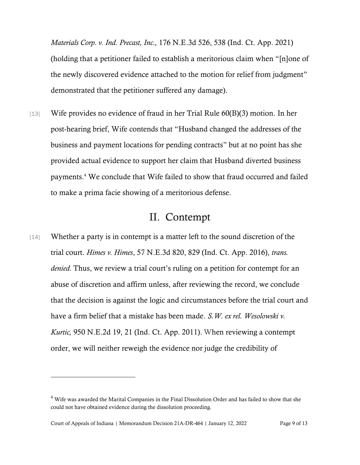*Materials Corp. v. Ind. Precast, Inc.,* 176 N.E.3d 526, 538 (Ind. Ct. App. 2021) (holding that a petitioner failed to establish a meritorious claim when "[n]one of the newly discovered evidence attached to the motion for relief from judgment" demonstrated that the petitioner suffered any damage).

[13] Wife provides no evidence of fraud in her Trial Rule 60(B)(3) motion. In her post-hearing brief, Wife contends that "Husband changed the addresses of the business and payment locations for pending contracts" but at no point has she provided actual evidence to support her claim that Husband diverted business payments.<sup>4</sup> We conclude that Wife failed to show that fraud occurred and failed to make a prima facie showing of a meritorious defense.

### II. Contempt

[14] Whether a party is in contempt is a matter left to the sound discretion of the trial court. *Himes v. Himes*, 57 [N.E.3d](https://1.next.westlaw.com/Link/Document/FullText?findType=Y&serNum=2039167390&pubNum=0007902&originatingDoc=I7bb08c3081df11ebae408ff11f155a05&refType=RP&fi=co_pp_sp_7902_829&originationContext=document&transitionType=DocumentItem&ppcid=17199eae976740cdb8db2a01915d9247&contextData=(sc.Search)#co_pp_sp_7902_829) 820, 829 (Ind. Ct. App. [2016\),](https://1.next.westlaw.com/Link/Document/FullText?findType=Y&serNum=2039167390&pubNum=0007902&originatingDoc=I7bb08c3081df11ebae408ff11f155a05&refType=RP&fi=co_pp_sp_7902_829&originationContext=document&transitionType=DocumentItem&ppcid=17199eae976740cdb8db2a01915d9247&contextData=(sc.Search)#co_pp_sp_7902_829) *trans. denied.* Thus, we review a trial court's ruling on a petition for contempt for an abuse of discretion and affirm unless, after reviewing the record, we conclude that the decision is against the logic and circumstances before the trial court and have a firm belief that a mistake has been made. *S.W. ex rel. [Wesolowski](https://1.next.westlaw.com/Link/Document/FullText?findType=Y&serNum=2025346724&pubNum=0000578&originatingDoc=I6d928ac4b65211e2981ea20c4f198a69&refType=RP&fi=co_pp_sp_578_21&originationContext=document&transitionType=DocumentItem&ppcid=aebb5b25e6564406bc029e079c9135c8&contextData=(sc.Search)#co_pp_sp_578_21) v. Kurtic,* 950 [N.E.2d](https://1.next.westlaw.com/Link/Document/FullText?findType=Y&serNum=2025346724&pubNum=0000578&originatingDoc=I6d928ac4b65211e2981ea20c4f198a69&refType=RP&fi=co_pp_sp_578_21&originationContext=document&transitionType=DocumentItem&ppcid=aebb5b25e6564406bc029e079c9135c8&contextData=(sc.Search)#co_pp_sp_578_21) 19, 21 (Ind. Ct. App. 2011). When reviewing a contempt order, we will neither reweigh the evidence nor judge the credibility of

<sup>&</sup>lt;sup>4</sup> Wife was awarded the Marital Companies in the Final Dissolution Order and has failed to show that she could not have obtained evidence during the dissolution proceeding.

Court of Appeals of Indiana | Memorandum Decision 21A-DR-464 | January 12, 2022 Page 9 of 13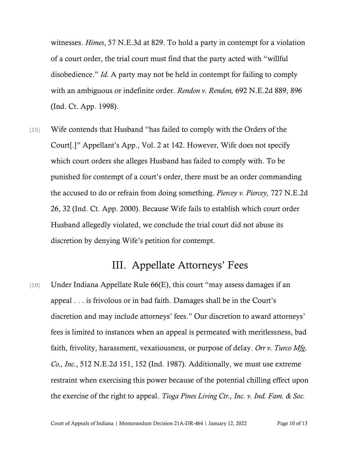witnesses. *Himes*, 57 N.E.3d at 829. To hold a party in contempt for a violation of a court order, the trial court must find that the party acted with "willful disobedience." *Id.* A party may not be held in contempt for failing to comply with an ambiguous or indefinite order. *Rendon v. [Rendon,](https://1.next.westlaw.com/Link/Document/FullText?findType=Y&serNum=1998068962&pubNum=578&originatingDoc=I45d61245d39711d98ac8f235252e36df&refType=RP&fi=co_pp_sp_578_896&originationContext=document&transitionType=DocumentItem&ppcid=238974ea1e3d40809f670a12fe3707e3&contextData=(sc.Search)#co_pp_sp_578_896)* 692 N.E.2d 889, 89[6](https://1.next.westlaw.com/Link/Document/FullText?findType=Y&serNum=1998068962&pubNum=578&originatingDoc=I45d61245d39711d98ac8f235252e36df&refType=RP&fi=co_pp_sp_578_896&originationContext=document&transitionType=DocumentItem&ppcid=238974ea1e3d40809f670a12fe3707e3&contextData=(sc.Search)#co_pp_sp_578_896) (Ind. Ct. App. [1998\).](https://1.next.westlaw.com/Link/Document/FullText?findType=Y&serNum=1998068962&pubNum=578&originatingDoc=I45d61245d39711d98ac8f235252e36df&refType=RP&fi=co_pp_sp_578_896&originationContext=document&transitionType=DocumentItem&ppcid=238974ea1e3d40809f670a12fe3707e3&contextData=(sc.Search)#co_pp_sp_578_896)

[15] Wife contends that Husband "has failed to comply with the Orders of the Court[.]" Appellant's App., Vol. 2 at 142. However, Wife does not specify which court orders she alleges Husband has failed to comply with. To be punished for contempt of a court's order, there must be an order commanding the accused to do or refrain from doing something. *Piercey v. Piercey,* 727 [N.E.2d](https://1.next.westlaw.com/Link/Document/FullText?findType=Y&serNum=2000102108&pubNum=578&originatingDoc=I45d61245d39711d98ac8f235252e36df&refType=RP&fi=co_pp_sp_578_31&originationContext=document&transitionType=DocumentItem&ppcid=238974ea1e3d40809f670a12fe3707e3&contextData=(sc.Search)#co_pp_sp_578_31) 26, 32 (Ind. Ct. App. [2000\).](https://1.next.westlaw.com/Link/Document/FullText?findType=Y&serNum=2000102108&pubNum=578&originatingDoc=I45d61245d39711d98ac8f235252e36df&refType=RP&fi=co_pp_sp_578_31&originationContext=document&transitionType=DocumentItem&ppcid=238974ea1e3d40809f670a12fe3707e3&contextData=(sc.Search)#co_pp_sp_578_31) Because Wife fails to establish which court order Husband allegedly violated, we conclude the trial court did not abuse its discretion by denying Wife's petition for contempt.

### III. Appellate Attorneys' Fees

[16] Under Indiana Appellate Rule 66(E), this court "may assess damages if an appeal . . . is frivolous or in bad faith. Damages shall be in the Court's discretion and may include attorneys' fees." Our discretion to award attorneys' fees is limited to instances when an appeal is permeated with meritlessness, bad faith, frivolity, harassment, vexatiousness, or purpose of delay. *Orr v. Turco Mfg. Co., Inc.*, 512 N.E.2d 151, 152 (Ind. 1987). Additionally, we must use extreme restraint when exercising this power because of the potential chilling effect upon the exercise of the right to appeal. *Tioga Pines [Living](https://1.next.westlaw.com/Link/Document/FullText?findType=Y&serNum=2001467164&pubNum=0000578&originatingDoc=If730697ed44411d983e7e9deff98dc6f&refType=RP&fi=co_pp_sp_578_1087&originationContext=document&transitionType=DocumentItem&ppcid=848f9232c3e440c291cc9f3f6f51017a&contextData=(sc.Search)#co_pp_sp_578_1087) Ctr., Inc. v. Ind. Fam. & Soc.*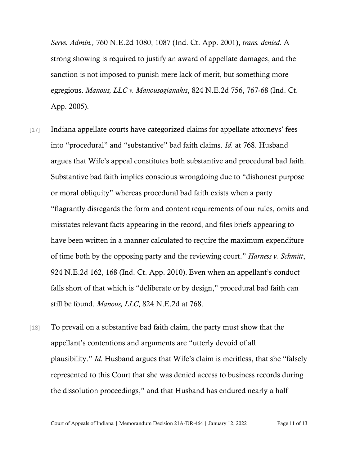*Servs. [Admin.,](https://1.next.westlaw.com/Link/Document/FullText?findType=Y&serNum=2001467164&pubNum=0000578&originatingDoc=If730697ed44411d983e7e9deff98dc6f&refType=RP&fi=co_pp_sp_578_1087&originationContext=document&transitionType=DocumentItem&ppcid=848f9232c3e440c291cc9f3f6f51017a&contextData=(sc.Search)#co_pp_sp_578_1087)* 760 N.E.2d 1080, 1087 (Ind. Ct. App. 2001), *trans. denied.* A strong showing is required to justify an award of appellate damages, and the sanction is not imposed to punish mere lack of merit, but something more egregious. *Manous, LLC v. Manousogianakis*, 824 N.E.2d 756, 767-68 (Ind. Ct. App. 2005).

- [17] Indiana appellate courts have categorized claims for appellate attorneys' fees into "procedural" and "substantive" bad faith claims. *[Id.](https://1.next.westlaw.com/Link/Document/FullText?findType=Y&serNum=2006403536&originatingDoc=I1542942461e911da8b81a5dcf146ff32&refType=RP&originationContext=document&transitionType=DocumentItem&ppcid=f41cf8dffa624563be1a6cedb1eaa2df&contextData=(sc.Search))* at 768. Husband argues that Wife's appeal constitutes both substantive and procedural bad faith. Substantive bad faith implies conscious wrongdoing due to "dishonest purpose or moral obliquity" whereas procedural bad faith exists when a party "flagrantly disregards the form and content requirements of our rules, omits and misstates relevant facts appearing in the record, and files briefs appearing to have been written in a manner calculated to require the maximum expenditure of time both by the opposing party and the reviewing court." *[Harness](https://1.next.westlaw.com/Link/Document/FullText?findType=Y&serNum=2021625235&pubNum=0000578&originatingDoc=I803e6d40107e11ea8d9494c64d4c96f1&refType=RP&fi=co_pp_sp_578_168&originationContext=document&transitionType=DocumentItem&ppcid=5b8e1acd54d146dc94aee66d273d8370&contextData=(sc.Search)#co_pp_sp_578_168) v. Schmitt*[,](https://1.next.westlaw.com/Link/Document/FullText?findType=Y&serNum=2021625235&pubNum=0000578&originatingDoc=I803e6d40107e11ea8d9494c64d4c96f1&refType=RP&fi=co_pp_sp_578_168&originationContext=document&transitionType=DocumentItem&ppcid=5b8e1acd54d146dc94aee66d273d8370&contextData=(sc.Search)#co_pp_sp_578_168) 924 [N.E.2d](https://1.next.westlaw.com/Link/Document/FullText?findType=Y&serNum=2021625235&pubNum=0000578&originatingDoc=I803e6d40107e11ea8d9494c64d4c96f1&refType=RP&fi=co_pp_sp_578_168&originationContext=document&transitionType=DocumentItem&ppcid=5b8e1acd54d146dc94aee66d273d8370&contextData=(sc.Search)#co_pp_sp_578_168) 162, 168 (Ind. Ct. App. 2010). Even when an appellant's conduct falls short of that which is "deliberate or by design," procedural bad faith can still be found. *Manous, LLC*, 824 N.E.2d at 768.
- [18] To prevail on a substantive bad faith claim, the party must show that the appellant's contentions and arguments are "utterly devoid of all plausibility." *[Id.](https://1.next.westlaw.com/Link/Document/FullText?findType=Y&serNum=2006403536&originatingDoc=I1542942461e911da8b81a5dcf146ff32&refType=RP&originationContext=document&transitionType=DocumentItem&ppcid=f41cf8dffa624563be1a6cedb1eaa2df&contextData=(sc.Search))* Husband argues that Wife's claim is meritless, that she "falsely represented to this Court that she was denied access to business records during the dissolution proceedings," and that Husband has endured nearly a half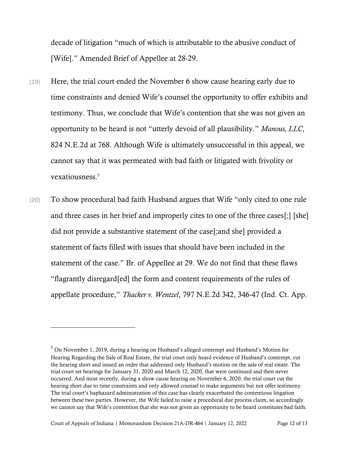decade of litigation "much of which is attributable to the abusive conduct of [Wife]." Amended Brief of Appellee at 28-29.

- [19] Here, the trial court ended the November 6 show cause hearing early due to time constraints and denied Wife's counsel the opportunity to offer exhibits and testimony. Thus, we conclude that Wife's contention that she was not given an opportunity to be heard is not "utterly devoid of all plausibility." *Manous, LLC*, 824 N.E.2d at 768. Although Wife is ultimately unsuccessful in this appeal, we cannot say that it was permeated with bad faith or litigated with frivolity or vexatiousness.<sup>5</sup>
- [20] To show procedural bad faith Husband argues that Wife "only cited to one rule and three cases in her brief and improperly cites to one of the three cases[;] [she] did not provide a substantive statement of the case[;and she] provided a statement of facts filled with issues that should have been included in the statement of the case." Br. of Appellee at 29. We do not find that these flaws "flagrantly disregard[ed] the form and content requirements of the rules of appellate procedure," *Thacker v. Wentzel*, 797 N.E.2d 342, 346-47 (Ind. Ct. App.

<sup>5</sup> On November 1, 2019, during a hearing on Husband's alleged contempt and Husband's Motion for Hearing Regarding the Sale of Real Estate, the trial court only heard evidence of Husband's contempt, cut the hearing short and issued an order that addressed only Husband's motion on the sale of real estate. The trial court set hearings for January 31, 2020 and March 12, 2020, that were continued and then never occurred. And most recently, during a show cause hearing on November 6, 2020, the trial court cut the hearing short due to time constraints and only allowed counsel to make arguments but not offer testimony. The trial court's haphazard administration of this case has clearly exacerbated the contentious litigation between these two parties. However, the Wife failed to raise a procedural due process claim, so accordingly we cannot say that Wife's contention that she was not given an opportunity to be heard constitutes bad faith.